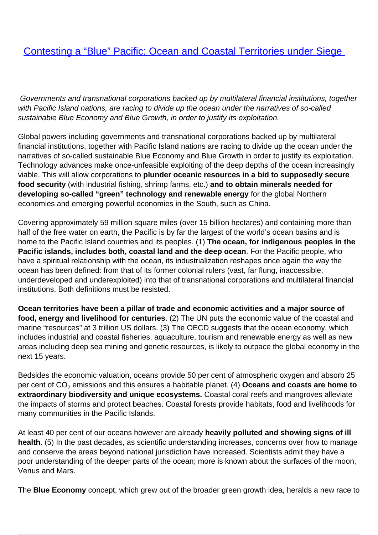## [Contesting a "Blue" Pacific: Ocean and Coastal Territories under Siege](/bulletin-articles/contesting-a-blue-pacific-ocean-and-coastal-territories-under-siege)

Governments and transnational corporations backed up by multilateral financial institutions, together with Pacific Island nations, are racing to divide up the ocean under the narratives of so-called sustainable Blue Economy and Blue Growth, in order to justify its exploitation.

Global powers including governments and transnational corporations backed up by multilateral financial institutions, together with Pacific Island nations are racing to divide up the ocean under the narratives of so-called sustainable Blue Economy and Blue Growth in order to justify its exploitation. Technology advances make once-unfeasible exploiting of the deep depths of the ocean increasingly viable. This will allow corporations to **plunder oceanic resources in a bid to supposedly secure food security** (with industrial fishing, shrimp farms, etc.) **and to obtain minerals needed for developing so-called "green" technology and renewable energy** for the global Northern economies and emerging powerful economies in the South, such as China.

Covering approximately 59 million square miles (over 15 billion hectares) and containing more than half of the free water on earth, the Pacific is by far the largest of the world's ocean basins and is home to the Pacific Island countries and its peoples. (1) **The ocean, for indigenous peoples in the Pacific islands, includes both, coastal land and the deep ocean**. For the Pacific people, who have a spiritual relationship with the ocean, its industrialization reshapes once again the way the ocean has been defined: from that of its former colonial rulers (vast, far flung, inaccessible, underdeveloped and underexploited) into that of transnational corporations and multilateral financial institutions. Both definitions must be resisted.

**Ocean territories have been a pillar of trade and economic activities and a major source of food, energy and livelihood for centuries**. (2) The UN puts the economic value of the coastal and marine "resources" at 3 trillion US dollars. (3) The OECD suggests that the ocean economy, which includes industrial and coastal fisheries, aquaculture, tourism and renewable energy as well as new areas including deep sea mining and genetic resources, is likely to outpace the global economy in the next 15 years.

Bedsides the economic valuation, oceans provide 50 per cent of atmospheric oxygen and absorb 25 per cent of CO<sub>2</sub> emissions and this ensures a habitable planet. (4) **Oceans and coasts are home to extraordinary biodiversity and unique ecosystems.** Coastal coral reefs and mangroves alleviate the impacts of storms and protect beaches. Coastal forests provide habitats, food and livelihoods for many communities in the Pacific Islands.

At least 40 per cent of our oceans however are already **heavily polluted and showing signs of ill health**. (5) In the past decades, as scientific understanding increases, concerns over how to manage and conserve the areas beyond national jurisdiction have increased. Scientists admit they have a poor understanding of the deeper parts of the ocean; more is known about the surfaces of the moon, Venus and Mars.

The **Blue Economy** concept, which grew out of the broader green growth idea, heralds a new race to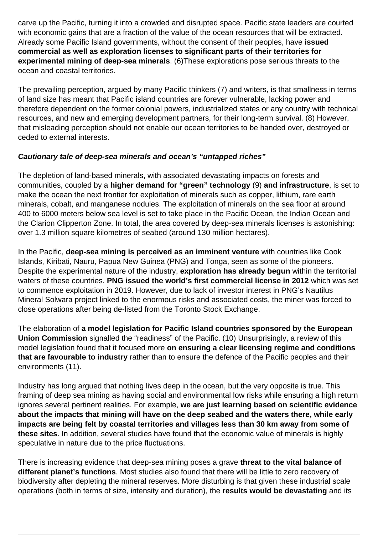carve up the Pacific, turning it into a crowded and disrupted space. Pacific state leaders are courted with economic gains that are a fraction of the value of the ocean resources that will be extracted. Already some Pacific Island governments, without the consent of their peoples, have **issued commercial as well as exploration licenses to significant parts of their territories for experimental mining of deep-sea minerals**. (6)These explorations pose serious threats to the ocean and coastal territories.

The prevailing perception, argued by many Pacific thinkers (7) and writers, is that smallness in terms of land size has meant that Pacific island countries are forever vulnerable, lacking power and therefore dependent on the former colonial powers, industrialized states or any country with technical resources, and new and emerging development partners, for their long-term survival. (8) However, that misleading perception should not enable our ocean territories to be handed over, destroyed or ceded to external interests.

## **Cautionary tale of deep-sea minerals and ocean's "untapped riches"**

The depletion of land-based minerals, with associated devastating impacts on forests and communities, coupled by a **higher demand for "green" technology** (9) **and infrastructure**, is set to make the ocean the next frontier for exploitation of minerals such as copper, lithium, rare earth minerals, cobalt, and manganese nodules. The exploitation of minerals on the sea floor at around 400 to 6000 meters below sea level is set to take place in the Pacific Ocean, the Indian Ocean and the Clarion Clipperton Zone. In total, the area covered by deep-sea minerals licenses is astonishing: over 1.3 million square kilometres of seabed (around 130 million hectares).

In the Pacific, **deep-sea mining is perceived as an imminent venture** with countries like Cook Islands, Kiribati, Nauru, Papua New Guinea (PNG) and Tonga, seen as some of the pioneers. Despite the experimental nature of the industry, **exploration has already begun** within the territorial waters of these countries. **PNG issued the world's first commercial license in 2012** which was set to commence exploitation in 2019. However, due to lack of investor interest in PNG's Nautilus Mineral Solwara project linked to the enormous risks and associated costs, the miner was forced to close operations after being de-listed from the Toronto Stock Exchange.

The elaboration of **a model legislation for Pacific Island countries sponsored by the European Union Commission** signalled the "readiness" of the Pacific. (10) Unsurprisingly, a review of this model legislation found that it focused more **on ensuring a clear licensing regime and conditions that are favourable to industry** rather than to ensure the defence of the Pacific peoples and their environments (11).

Industry has long argued that nothing lives deep in the ocean, but the very opposite is true. This framing of deep sea mining as having social and environmental low risks while ensuring a high return ignores several pertinent realities. For example, **we are just learning based on scientific evidence about the impacts that mining will have on the deep seabed and the waters there, while early impacts are being felt by coastal territories and villages less than 30 km away from some of these sites**. In addition, several studies have found that the economic value of minerals is highly speculative in nature due to the price fluctuations.

There is increasing evidence that deep-sea mining poses a grave **threat to the vital balance of different planet's functions**. Most studies also found that there will be little to zero recovery of biodiversity after depleting the mineral reserves. More disturbing is that given these industrial scale operations (both in terms of size, intensity and duration), the **results would be devastating** and its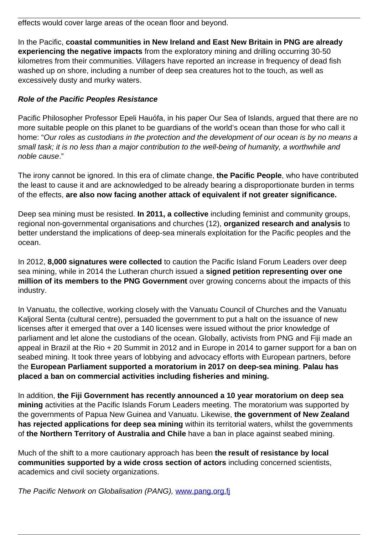effects would cover large areas of the ocean floor and beyond.

In the Pacific, **coastal communities in New Ireland and East New Britain in PNG are already experiencing the negative impacts** from the exploratory mining and drilling occurring 30-50 kilometres from their communities. Villagers have reported an increase in frequency of dead fish washed up on shore, including a number of deep sea creatures hot to the touch, as well as excessively dusty and murky waters.

## **Role of the Pacific Peoples Resistance**

Pacific Philosopher Professor Epeli Hauófa, in his paper Our Sea of Islands, argued that there are no more suitable people on this planet to be guardians of the world's ocean than those for who call it home: "Our roles as custodians in the protection and the development of our ocean is by no means a small task; it is no less than a major contribution to the well-being of humanity, a worthwhile and noble cause."

The irony cannot be ignored. In this era of climate change, **the Pacific People**, who have contributed the least to cause it and are acknowledged to be already bearing a disproportionate burden in terms of the effects, **are also now facing another attack of equivalent if not greater significance.**

Deep sea mining must be resisted. **In 2011, a collective** including feminist and community groups, regional non-governmental organisations and churches (12), **organized research and analysis** to better understand the implications of deep-sea minerals exploitation for the Pacific peoples and the ocean.

In 2012, **8,000 signatures were collected** to caution the Pacific Island Forum Leaders over deep sea mining, while in 2014 the Lutheran church issued a **signed petition representing over one million of its members to the PNG Government** over growing concerns about the impacts of this industry.

In Vanuatu, the collective, working closely with the Vanuatu Council of Churches and the Vanuatu Kaljoral Senta (cultural centre), persuaded the government to put a halt on the issuance of new licenses after it emerged that over a 140 licenses were issued without the prior knowledge of parliament and let alone the custodians of the ocean. Globally, activists from PNG and Fiji made an appeal in Brazil at the Rio + 20 Summit in 2012 and in Europe in 2014 to garner support for a ban on seabed mining. It took three years of lobbying and advocacy efforts with European partners, before the **European Parliament supported a moratorium in 2017 on deep-sea mining**. **Palau has placed a ban on commercial activities including fisheries and mining.** 

In addition, **the Fiji Government has recently announced a 10 year moratorium on deep sea mining** activities at the Pacific Islands Forum Leaders meeting. The moratorium was supported by the governments of Papua New Guinea and Vanuatu. Likewise, **the government of New Zealand has rejected applications for deep sea mining** within its territorial waters, whilst the governments of **the Northern Territory of Australia and Chile** have a ban in place against seabed mining.

Much of the shift to a more cautionary approach has been **the result of resistance by local communities supported by a wide cross section of actors** including concerned scientists, academics and civil society organizations.

The Pacific Network on Globalisation (PANG), [www.pang.org.fj](https://wrm.us9.list-manage.com/track/click?u=f91b651f7fecdf835b57dc11d&id=a6f8491ee7&e=d8e27bd4ab)